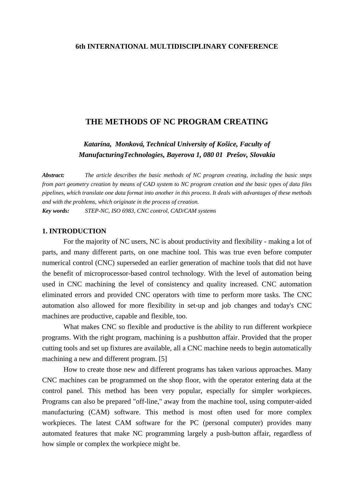### **6th INTERNATIONAL MULTIDISCIPLINARY CONFERENCE**

# **THE METHODS OF NC PROGRAM CREATING**

*Katarína, Monková, Technical University of Košice, Faculty of ManufacturingTechnologies, Bayerova 1, 080 01 Prešov, Slovakia*

*Abstract: The article describes the basic methods of NC program creating, including the basic steps from part geometry creation by means of CAD system to NC program creation and the basic types of data files pipelines, which translate one data format into another in this process. It deals with advantages of these methods and with the problems, which originate in the process of creation. Key words: STEP-NC, ISO 6983, CNC control, CAD/CAM systems* 

#### **1. INTRODUCTION**

For the majority of NC users, NC is about productivity and flexibility - making a lot of parts, and many different parts, on one machine tool. This was true even before computer numerical control (CNC) superseded an earlier generation of machine tools that did not have the benefit of microprocessor-based control technology. With the level of automation being used in CNC machining the level of consistency and quality increased. CNC automation eliminated errors and provided CNC operators with time to perform more tasks. The CNC automation also allowed for more flexibility in set-up and job changes and today's CNC machines are productive, capable and flexible, too.

What makes CNC so flexible and productive is the ability to run different workpiece programs. With the right program, machining is a pushbutton affair. Provided that the proper cutting tools and set up fixtures are available, all a CNC machine needs to begin automatically machining a new and different program. [5]

How to create those new and different programs has taken various approaches. Many CNC machines can be programmed on the shop floor, with the operator entering data at the control panel. This method has been very popular, especially for simpler workpieces. Programs can also be prepared "off-line," away from the machine tool, using computer-aided manufacturing (CAM) software. This method is most often used for more complex workpieces. The latest CAM software for the PC (personal computer) provides many automated features that make NC programming largely a push-button affair, regardless of how simple or complex the workpiece might be.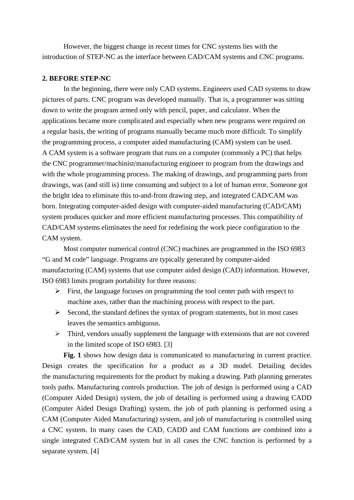However, the biggest change in recent times for CNC systems lies with the introduction of STEP-NC as the interface between CAD/CAM systems and CNC programs.

### **2. BEFORE STEP-NC**

In the beginning, there were only CAD systems. Engineers used CAD systems to draw pictures of parts. CNC program was developed manually. That is, a programmer was sitting down to write the program armed only with pencil, paper, and calculator. When the applications became more complicated and especially when new programs were required on a regular basis, the writing of programs manually became much more difficult. To simplify the programming process, a computer aided manufacturing (CAM) system can be used. A CAM system is a software program that runs on a computer (commonly a PC) that helps the CNC programmer/machinist/manufacturing engineer to program from the drawings and with the whole programming process. The making of drawings, and programming parts from drawings, was (and still is) time consuming and subject to a lot of human error. Someone got the bright idea to eliminate this to-and-from drawing step, and integrated CAD/CAM was born. Integrating computer-aided design with computer-aided manufacturing (CAD/CAM) system produces quicker and more efficient manufacturing processes. This compatibility of CAD/CAM systems eliminates the need for redefining the work piece configuration to the CAM system.

Most computer numerical control (CNC) machines are programmed in the ISO 6983 "G and M code" language. Programs are typically generated by computer-aided manufacturing (CAM) systems that use computer aided design (CAD) information. However, ISO 6983 limits program portability for three reasons:

- $\triangleright$  First, the language focuses on programming the tool center path with respect to machine axes, rather than the machining process with respect to the part.
- $\triangleright$  Second, the standard defines the syntax of program statements, but in most cases leaves the semantics ambiguous.
- $\triangleright$  Third, vendors usually supplement the language with extensions that are not covered in the limited scope of ISO 6983. [3]

**Fig. 1** shows how design data is communicated to manufacturing in current practice. Design creates the specification for a product as a 3D model. Detailing decides the manufacturing requirements for the product by making a drawing. Path planning generates tools paths. Manufacturing controls production. The job of design is performed using a CAD (Computer Aided Design) system, the job of detailing is performed using a drawing CADD (Computer Aided Design Drafting) system, the job of path planning is performed using a CAM (Computer Aided Manufacturing) system, and job of manufacturing is controlled using a CNC system. In many cases the CAD, CADD and CAM functions are combined into a single integrated CAD/CAM system but in all cases the CNC function is performed by a separate system. [4]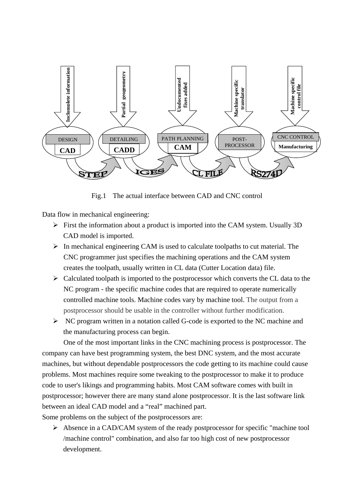

Fig.1 The actual interface between CAD and CNC control

Data flow in mechanical engineering:

- $\triangleright$  First the information about a product is imported into the CAM system. Usually 3D CAD model is imported.
- $\triangleright$  In mechanical engineering CAM is used to calculate toolpaths to cut material. The CNC programmer just specifies the machining operations and the CAM system creates the toolpath, usually written in CL data (Cutter Location data) file.
- $\triangleright$  Calculated toolpath is imported to the postprocessor which converts the CL data to the NC program - the specific machine codes that are required to operate numerically controlled machine tools. Machine codes vary by machine tool. The output from a postprocessor should be usable in the controller without further modification.
- ¾ NC program written in a notation called G-code is exported to the NC machine and the manufacturing process can begin.

One of the most important links in the CNC machining process is postprocessor. The company can have best programming system, the best DNC system, and the most accurate machines, but without dependable postprocessors the code getting to its machine could cause problems. Most machines require some tweaking to the postprocessor to make it to produce code to user's likings and programming habits. Most CAM software comes with built in postprocessor; however there are many stand alone postprocessor. It is the last software link between an ideal CAD model and a "real" machined part.

Some problems on the subject of the postprocessors are:

¾ Absence in a CAD/CAM system of the ready postprocessor for specific "machine tool /machine control" combination, and also far too high cost of new postprocessor development.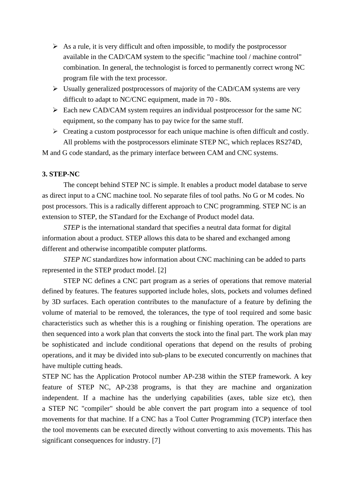- $\triangleright$  As a rule, it is very difficult and often impossible, to modify the postprocessor available in the CAD/CAM system to the specific "machine tool / machine control" combination. In general, the technologist is forced to permanently correct wrong NC program file with the text processor.
- $\triangleright$  Usually generalized postprocessors of majority of the CAD/CAM systems are very difficult to adapt to NC/CNC equipment, made in 70 - 80s.
- $\triangleright$  Each new CAD/CAM system requires an individual postprocessor for the same NC equipment, so the company has to pay twice for the same stuff.
- $\triangleright$  Creating a custom postprocessor for each unique machine is often difficult and costly. All problems with the postprocessors eliminate STEP NC, which replaces RS274D,

M and G code standard, as the primary interface between CAM and CNC systems.

# **3. STEP-NC**

The concept behind STEP NC is simple. It enables a product model database to serve as direct input to a CNC machine tool. No separate files of tool paths. No G or M codes. No post processors. This is a radically different approach to CNC programming. STEP NC is an extension to STEP, the STandard for the Exchange of Product model data.

*STEP* is the international standard that specifies a neutral data format for digital information about a product. STEP allows this data to be shared and exchanged among different and otherwise incompatible computer platforms.

*STEP NC* standardizes how information about CNC machining can be added to parts represented in the STEP product model. [2]

STEP NC defines a CNC part program as a series of operations that remove material defined by features. The features supported include holes, slots, pockets and volumes defined by 3D surfaces. Each operation contributes to the manufacture of a feature by defining the volume of material to be removed, the tolerances, the type of tool required and some basic characteristics such as whether this is a roughing or finishing operation. The operations are then sequenced into a work plan that converts the stock into the final part. The work plan may be sophisticated and include conditional operations that depend on the results of probing operations, and it may be divided into sub-plans to be executed concurrently on machines that have multiple cutting heads.

STEP NC has the Application Protocol number AP-238 within the STEP framework. A key feature of STEP NC, AP-238 programs, is that they are machine and organization independent. If a machine has the underlying capabilities (axes, table size etc), then a STEP NC "compiler" should be able convert the part program into a sequence of tool movements for that machine. If a CNC has a Tool Cutter Programming (TCP) interface then the tool movements can be executed directly without converting to axis movements. This has significant consequences for industry. [7]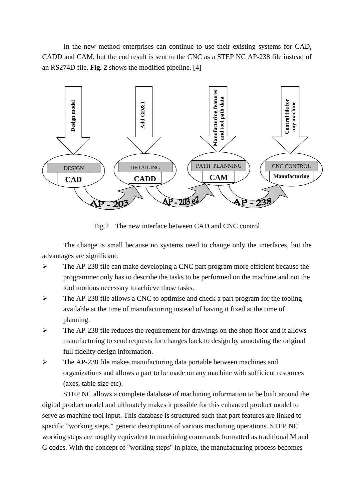In the new method enterprises can continue to use their existing systems for CAD, CADD and CAM, but the end result is sent to the CNC as a STEP NC AP-238 file instead of an RS274D file. **Fig. 2** shows the modified pipeline. [4]



Fig.2 The new interface between CAD and CNC control

The change is small because no systems need to change only the interfaces, but the advantages are significant:

- ¾ The AP-238 file can make developing a CNC part program more efficient because the programmer only has to describe the tasks to be performed on the machine and not the tool motions necessary to achieve those tasks.
- $\triangleright$  The AP-238 file allows a CNC to optimise and check a part program for the tooling available at the time of manufacturing instead of having it fixed at the time of planning.
- $\triangleright$  The AP-238 file reduces the requirement for drawings on the shop floor and it allows manufacturing to send requests for changes back to design by annotating the original full fidelity design information.
- ¾ The AP-238 file makes manufacturing data portable between machines and organizations and allows a part to be made on any machine with sufficient resources (axes, table size etc).

STEP NC allows a complete database of machining information to be built around the digital product model and ultimately makes it possible for this enhanced product model to serve as machine tool input. This database is structured such that part features are linked to specific "working steps," generic descriptions of various machining operations. STEP NC working steps are roughly equivalent to machining commands formatted as traditional M and G codes. With the concept of "working steps" in place, the manufacturing process becomes